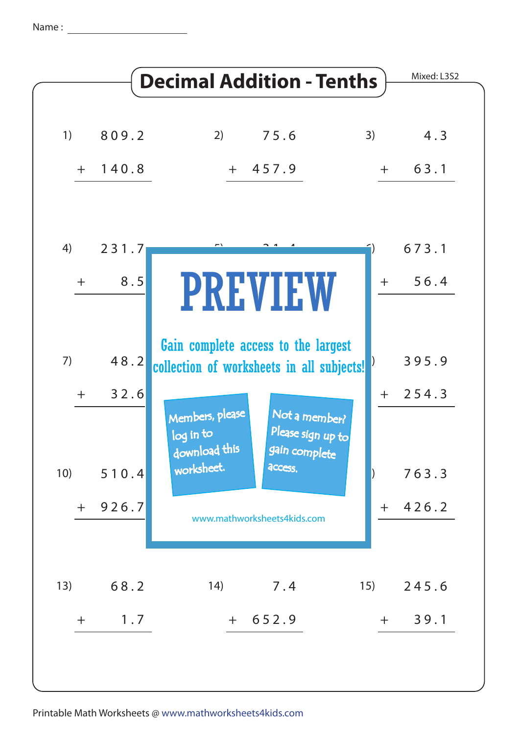